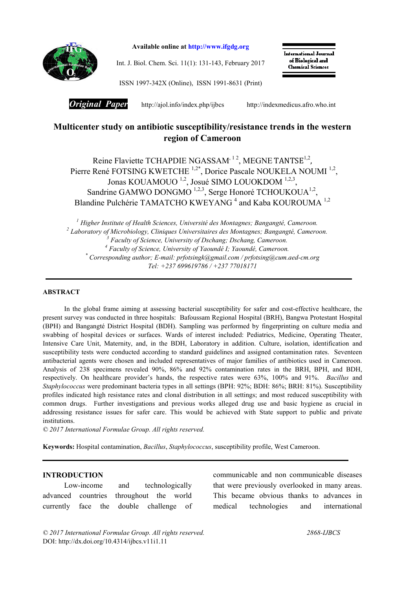

Available online at http://www.ifgdg.org

Int. J. Biol. Chem. Sci. 11(1): 131-143, February 2017

International Journal of Biological and **Chemical Sciences** 

ISSN 1997-342X (Online), ISSN 1991-8631 (Print)

*Original Paper* http://ajol.info/index.php/ijbcshttp://indexmedicus.afro.who.int

# Multicenter study on antibiotic susceptibility/resistance trends in the western region of Cameroon

Reine Flaviette TCHAPDIE NGASSAM<sup>, 12</sup>, MEGNE TANTSE<sup>1,2</sup>, Pierre René FOTSING KWETCHE<sup>1,2\*</sup>, Dorice Pascale NOUKELA NOUMI<sup>1,2</sup>, Jonas KOUAMOUO<sup>1,2</sup>, Josué SIMO LOUOKDOM<sup>1,2,3</sup>, Sandrine GAMWO DONGMO<sup>1,2,3</sup>, Serge Honoré TCHOUKOUA<sup>1,2</sup>, Blandine Pulchérie TAMATCHO KWEYANG<sup>4</sup> and Kaba KOUROUMA<sup>1,2</sup>

 *Higher Institute of Health Sciences, Université des Montagnes; Bangangté, Cameroon. Laboratory of Microbiology, Cliniques Universitaires des Montagnes; Bangangté, Cameroon. Faculty of Science, University of Dschang; Dschang, Cameroon. Faculty of Science, University of Yaoundé I; Yaoundé, Cameroon. \* Corresponding author; E-mail: prfotsingk@gmail.com / prfotsing@cum.aed-cm.org Tel: +237 699619786 / +237 77018171*

#### ABSTRACT

In the global frame aiming at assessing bacterial susceptibility for safer and cost-effective healthcare, the present survey was conducted in three hospitals: Bafoussam Regional Hospital (BRH), Bangwa Protestant Hospital (BPH) and Bangangté District Hospital (BDH). Sampling was performed by fingerprinting on culture media and swabbing of hospital devices or surfaces. Wards of interest included: Pediatrics, Medicine, Operating Theater, Intensive Care Unit, Maternity, and, in the BDH, Laboratory in addition. Culture, isolation, identification and susceptibility tests were conducted according to standard guidelines and assigned contamination rates. Seventeen antibacterial agents were chosen and included representatives of major families of antibiotics used in Cameroon. Analysis of 238 specimens revealed 90%, 86% and 92% contamination rates in the BRH, BPH, and BDH, respectively. On healthcare provider's hands, the respective rates were 63%, 100% and 91%. *Bacillus* and *Staphylococcus* were predominant bacteria types in all settings (BPH: 92%; BDH: 86%; BRH: 81%). Susceptibility profiles indicated high resistance rates and clonal distribution in all settings; and most reduced susceptibility with common drugs. Further investigations and previous works alleged drug use and basic hygiene as crucial in addressing resistance issues for safer care. This would be achieved with State support to public and private institutions.

*© 2017 International Formulae Group. All rights reserved.*

Keywords: Hospital contamination, *Bacillus*, *Staphylococcus*, susceptibility profile, West Cameroon.

### INTRODUCTION

|                                         | Low-income | and | technologically |  |
|-----------------------------------------|------------|-----|-----------------|--|
| advanced countries throughout the world |            |     |                 |  |
| currently face the double challenge of  |            |     |                 |  |

communicable and non communicable diseases that were previously overlooked in many areas. This became obvious thanks to advances in medical technologies and international

*© 2017 International Formulae Group. All rights reserved. 2868-IJBCS* DOI: http://dx.doi.org/10.4314/ijbcs.v11i1.11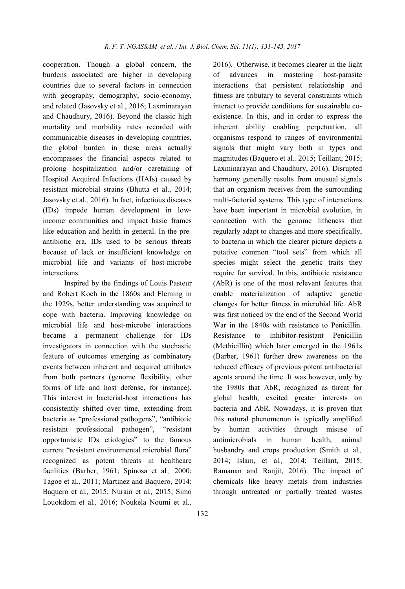cooperation. Though a global concern, the burdens associated are higher in developing countries due to several factors in connection with geography, demography, socio-economy, and related (Jasovsky et al., 2016; Laxminarayan and Chaudhury, 2016). Beyond the classic high mortality and morbidity rates recorded with communicable diseases in developing countries, the global burden in these areas actually encompasses the financial aspects related to prolong hospitalization and/or caretaking of Hospital Acquired Infections (HAIs) caused by resistant microbial strains (Bhutta et al., 2014; Jasovsky et al*.,* 2016). In fact, infectious diseases (IDs) impede human development in lowincome communities and impact basic frames like education and health in general. In the preantibiotic era, IDs used to be serious threats because of lack or insufficient knowledge on microbial life and variants of host-microbe interactions.

Inspired by the findings of Louis Pasteur and Robert Koch in the 1860s and Fleming in the 1929s, better understanding was acquired to cope with bacteria. Improving knowledge on microbial life and host-microbe interactions became a permanent challenge for IDs investigators in connection with the stochastic feature of outcomes emerging as combinatory events between inherent and acquired attributes from both partners (genome flexibility, other forms of life and host defense, for instance). This interest in bacterial-host interactions has consistently shifted over time, extending from bacteria as "professional pathogens", "antibiotic resistant professional pathogen", "resistant opportunistic IDs etiologies" to the famous current "resistant environmental microbial flora" recognized as potent threats in healthcare facilities (Barber, 1961; Spinosa et al*.,* 2000; Tagoe et al*.,* 2011; Martínez and Baquero, 2014; Baquero et al*.,* 2015; Nurain et al*.,* 2015; Simo Louokdom et al*.,* 2016; Noukela Noumi et al*.,*

2016). Otherwise, it becomes clearer in the light of advances in mastering host-parasite interactions that persistent relationship and fitness are tributary to several constraints which interact to provide conditions for sustainable coexistence. In this, and in order to express the inherent ability enabling perpetuation, all organisms respond to ranges of environmental signals that might vary both in types and magnitudes (Baquero et al*.,* 2015; Teillant, 2015; Laxminarayan and Chaudhury, 2016). Disrupted harmony generally results from unusual signals that an organism receives from the surrounding multi-factorial systems. This type of interactions have been important in microbial evolution, in connection with the genome litheness that regularly adapt to changes and more specifically, to bacteria in which the clearer picture depicts a putative common "tool sets" from which all species might select the genetic traits they require for survival. In this, antibiotic resistance (AbR) is one of the most relevant features that enable materialization of adaptive genetic changes for better fitness in microbial life. AbR was first noticed by the end of the Second World War in the 1840s with resistance to Penicillin. Resistance to inhibitor-resistant Penicillin (Methicillin) which later emerged in the 1961s (Barber, 1961) further drew awareness on the reduced efficacy of previous potent antibacterial agents around the time. It was however, only by the 1980s that AbR, recognized as threat for global health, excited greater interests on bacteria and AbR. Nowadays, it is proven that this natural phenomenon is typically amplified by human activities through misuse of antimicrobials in human health, animal husbandry and crops production (Smith et al*.,* 2014; Islam, et al*.,* 2014; Teillant, 2015; Ramanan and Ranjit, 2016). The impact of chemicals like heavy metals from industries through untreated or partially treated wastes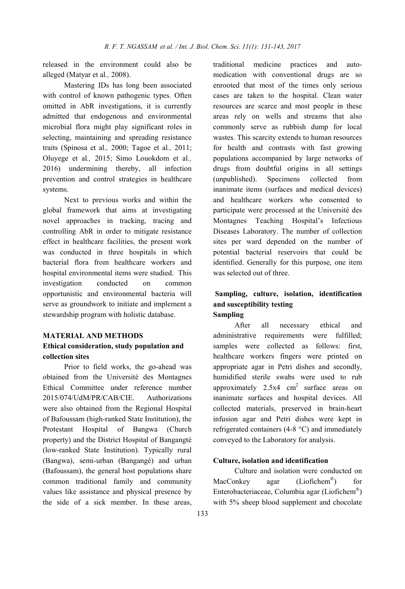released in the environment could also be alleged (Matyar et al*.,* 2008).

Mastering IDs has long been associated with control of known pathogenic types. Often omitted in AbR investigations, it is currently admitted that endogenous and environmental microbial flora might play significant roles in selecting, maintaining and spreading resistance traits (Spinosa et al*.,* 2000; Tagoe et al*.,* 2011; Oluyege et al*.,* 2015; Simo Louokdom et al*.,* 2016) undermining thereby, all infection prevention and control strategies in healthcare systems.

Next to previous works and within the global framework that aims at investigating novel approaches in tracking, tracing and controlling AbR in order to mitigate resistance effect in healthcare facilities, the present work was conducted in three hospitals in which bacterial flora from healthcare workers and hospital environmental items were studied. This investigation conducted on common opportunistic and environmental bacteria will serve as groundwork to initiate and implement a stewardship program with holistic database.

# MATERIAL AND METHODS Ethical consideration, study population and collection sites

Prior to field works, the go-ahead was obtained from the Université des Montagnes Ethical Committee under reference number 2015/074/UdM/PR/CAB/CIE. Authorizations were also obtained from the Regional Hospital of Bafoussam (high-ranked State Institution), the Protestant Hospital of Bangwa (Church property) and the District Hospital of Bangangté (low-ranked State Institution). Typically rural (Bangwa), semi-urban (Bangangé) and urban (Bafoussam), the general host populations share common traditional family and community values like assistance and physical presence by the side of a sick member. In these areas,

traditional medicine practices and automedication with conventional drugs are so enrooted that most of the times only serious cases are taken to the hospital. Clean water resources are scarce and most people in these areas rely on wells and streams that also commonly serve as rubbish dump for local wastes. This scarcity extends to human resources for health and contrasts with fast growing populations accompanied by large networks of drugs from doubtful origins in all settings (unpublished). Specimens collected from inanimate items (surfaces and medical devices) and healthcare workers who consented to participate were processed at the Université des Montagnes Teaching Hospital's Infectious Diseases Laboratory. The number of collection sites per ward depended on the number of potential bacterial reservoirs that could be identified. Generally for this purpose, one item was selected out of three.

# Sampling, culture, isolation, identification and susceptibility testing Sampling

After all necessary ethical and administrative requirements were fulfilled; samples were collected as follows: first, healthcare workers fingers were printed on appropriate agar in Petri dishes and secondly, humidified sterile swabs were used to rub approximately  $2.5x4$  cm<sup>2</sup> surface areas on inanimate surfaces and hospital devices. All collected materials, preserved in brain-heart infusion agar and Petri dishes were kept in refrigerated containers (4-8 °C) and immediately conveyed to the Laboratory for analysis.

# Culture, isolation and identification

Culture and isolation were conducted on MacConkey agar (Liofichem<sup>®</sup>) for Enterobacteriaceae, Columbia agar (Liofichem®) with 5% sheep blood supplement and chocolate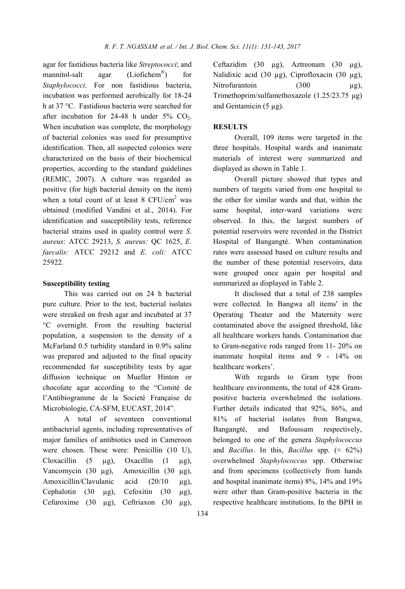agar for fastidious bacteria like *Streptococci*; and mannitol-salt agar (Liofichem®) for *Staphylococci*. For non fastidious bacteria, incubation was performed aerobically for 18-24 h at 37 °C. Fastidious bacteria were searched for after incubation for  $24-48$  h under  $5\%$  CO<sub>2</sub>. When incubation was complete, the morphology of bacterial colonies was used for presumptive identification. Then, all suspected colonies were characterized on the basis of their biochemical properties, according to the standard guidelines (REMIC, 2007). A culture was regarded as positive (for high bacterial density on the item) when a total count of at least  $8 \text{ CFU/cm}^2$  was obtained (modified Vandini et al., 2014). For identification and susceptibility tests, reference bacterial strains used in quality control were *S*. *aureus*: ATCC 29213, *S. aureus:* QC 1625, *E. faecalis:* ATCC 29212 and *E. coli:* ATCC 25922*.*

# Susceptibility testing

This was carried out on 24 h bacterial pure culture. Prior to the test, bacterial isolates were streaked on fresh agar and incubated at 37 °C overnight. From the resulting bacterial population, a suspension to the density of a McFarland 0.5 turbidity standard in 0.9% saline was prepared and adjusted to the final opacity recommended for susceptibility tests by agar diffusion technique on Mueller Hinton or chocolate agar according to the "Comité de l'Antibiogramme de la Societé Française de Microbiologie, CA-SFM, EUCAST, 2014".

A total of seventeen conventional antibacterial agents, including representatives of major families of antibiotics used in Cameroon were chosen. These were: Penicillin (10 U), Cloxacillin  $(5 \mu g)$ , Oxacillin  $(1 \mu g)$ , Vancomycin (30 µg), Amoxicillin (30 µg), Amoxicillin/Clavulanic acid (20/10 µg), Cephalotin (30  $\mu$ g), Cefoxitin (30  $\mu$ g), Cefuroxime (30 µg), Ceftriaxon (30 µg),

Ceftazidim (30 µg), Aztreonam (30 µg), Nalidixic acid (30 µg), Ciprofloxacin (30 µg), Nitrofurantoin (300 µg), Trimethoprim/sulfamethoxazole (1.25/23.75 μg) and Gentamicin (5 µg).

# **RESULTS**

Overall, 109 items were targeted in the three hospitals. Hospital wards and inanimate materials of interest were summarized and displayed as shown in Table 1.

Overall picture showed that types and numbers of targets varied from one hospital to the other for similar wards and that, within the same hospital, inter-ward variations were observed. In this, the largest numbers of potential reservoirs were recorded in the District Hospital of Bangangté. When contamination rates were assessed based on culture results and the number of these potential reservoirs, data were grouped once again per hospital and summarized as displayed in Table 2.

It disclosed that a total of 238 samples were collected. In Bangwa all items' in the Operating Theater and the Maternity were contaminated above the assigned threshold, like all healthcare workers hands. Contamination due to Gram-negative rods ranged from 11- 20% on inanimate hospital items and 9 - 14% on healthcare workers'.

With regards to Gram type from healthcare environments, the total of 428 Grampositive bacteria overwhelmed the isolations. Further details indicated that 92%, 86%, and 81% of bacterial isolates from Bangwa, Bangangté, and Bafoussam respectively, belonged to one of the genera *Staphylococcus* and *Bacillus*. In this, *Bacillus* spp. ( $\approx$  62%) overwhelmed *Staphylococcus* spp. Otherwise and from specimens (collectively from hands and hospital inanimate items) 8%, 14% and 19% were other than Gram-positive bacteria in the respective healthcare institutions. In the BPH in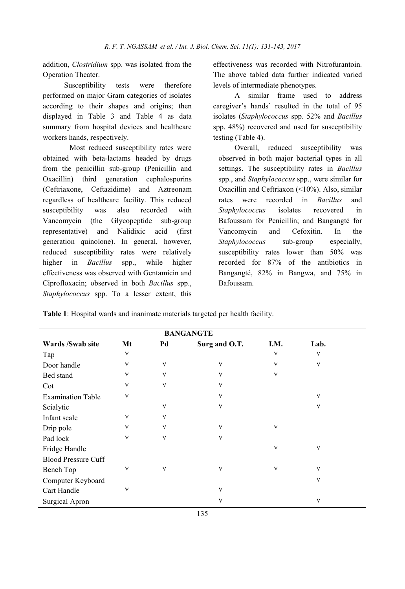addition, *Clostridium* spp. was isolated from the Operation Theater.

Susceptibility tests were therefore performed on major Gram categories of isolates according to their shapes and origins; then displayed in Table 3 and Table 4 as data summary from hospital devices and healthcare workers hands, respectively.

Most reduced susceptibility rates were obtained with beta-lactams headed by drugs from the penicillin sub-group (Penicillin and Oxacillin) third generation cephalosporins (Ceftriaxone, Ceftazidime) and Aztreonam regardless of healthcare facility. This reduced susceptibility was also recorded with Vancomycin (the Glycopeptide sub-group representative) and Nalidixic acid (first generation quinolone). In general, however, reduced susceptibility rates were relatively higher in *Bacillus* spp., while higher effectiveness was observed with Gentamicin and Ciprofloxacin; observed in both *Bacillus* spp., *Staphylococcus* spp. To a lesser extent, this

effectiveness was recorded with Nitrofurantoin. The above tabled data further indicated varied levels of intermediate phenotypes.

A similar frame used to address caregiver's hands' resulted in the total of 95 isolates (*Staphylococcus* spp. 52% and *Bacillus* spp. 48%) recovered and used for susceptibility testing (Table 4).

Overall, reduced susceptibility was observed in both major bacterial types in all settings. The susceptibility rates in *Bacillus* spp., and *Staphylococcus* spp., were similar for Oxacillin and Ceftriaxon (<10%). Also, similar rates were recorded in *Bacillus* and *Staphylococcus* isolates recovered in Bafoussam for Penicillin; and Bangangté for Vancomycin and Cefoxitin. In the *Staphylococcus* sub-group especially, susceptibility rates lower than 50% was recorded for 87% of the antibiotics in Bangangté, 82% in Bangwa, and 75% in Bafoussam.

| <b>BANGANGTE</b>           |    |              |               |      |        |  |  |  |  |  |  |
|----------------------------|----|--------------|---------------|------|--------|--|--|--|--|--|--|
| Wards /Swab site           | Mt | Pd           | Surg and O.T. | I.M. | Lab.   |  |  |  |  |  |  |
| Tap                        | ٧  |              |               | ٧    | ٧      |  |  |  |  |  |  |
| Door handle                | ٧  | $\checkmark$ | ٧             | ٧    | $\vee$ |  |  |  |  |  |  |
| Bed stand                  |    | ٧            |               |      |        |  |  |  |  |  |  |
| Cot                        | v  | ٧            | ٧             |      |        |  |  |  |  |  |  |
| <b>Examination Table</b>   | ٧  |              | v             |      | v      |  |  |  |  |  |  |
| Scialytic                  |    | ٧            | ٧             |      | ٧      |  |  |  |  |  |  |
| Infant scale               | ٧  | ٧            |               |      |        |  |  |  |  |  |  |
| Drip pole                  | ٧  | ٧            | ٧             | ٧    |        |  |  |  |  |  |  |
| Pad lock                   | ٧  | ٧            | ٧             |      |        |  |  |  |  |  |  |
| Fridge Handle              |    |              |               | ٧    | ٧      |  |  |  |  |  |  |
| <b>Blood Pressure Cuff</b> |    |              |               |      |        |  |  |  |  |  |  |
| Bench Top                  | ٧  | $\checkmark$ | ٧             | ٧    | ٧      |  |  |  |  |  |  |
| Computer Keyboard          |    |              |               |      | ٧      |  |  |  |  |  |  |
| Cart Handle                | ٧  |              | ٧             |      |        |  |  |  |  |  |  |
| <b>Surgical Apron</b>      |    |              | ٧             |      | ٧      |  |  |  |  |  |  |

Table 1: Hospital wards and inanimate materials targeted per health facility.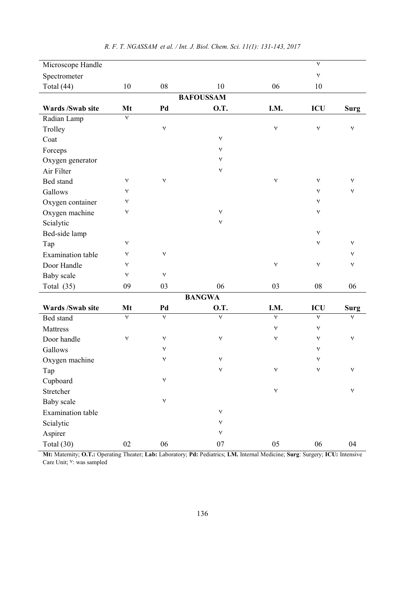| Microscope Handle        |                         |                         |                         |                         | ٧            |              |
|--------------------------|-------------------------|-------------------------|-------------------------|-------------------------|--------------|--------------|
| Spectrometer             |                         |                         |                         |                         | $\checkmark$ |              |
| Total (44)               | 10                      | 08                      | 10                      | 06                      | 10           |              |
|                          |                         |                         | <b>BAFOUSSAM</b>        |                         |              |              |
| Wards /Swab site         | Mt                      | Pd                      | <b>O.T.</b>             | I.M.                    | ICU          | <b>Surg</b>  |
| Radian Lamp              | $\overline{\mathsf{v}}$ |                         |                         |                         |              |              |
| Trolley                  |                         | $\vee$                  |                         | $\checkmark$            | $\checkmark$ | $\checkmark$ |
| Coat                     |                         |                         | $\checkmark$            |                         |              |              |
| Forceps                  |                         |                         | ٧                       |                         |              |              |
| Oxygen generator         |                         |                         | ٧                       |                         |              |              |
| Air Filter               |                         |                         | ٧                       |                         |              |              |
| Bed stand                | ٧                       | $\vee$                  |                         | ٧                       | $\checkmark$ | ٧            |
| Gallows                  | ٧                       |                         |                         |                         | ٧            | ٧            |
| Oxygen container         | ٧                       |                         |                         |                         | ٧            |              |
| Oxygen machine           | ٧                       |                         | ٧                       |                         | ٧            |              |
| Scialytic                |                         |                         | ٧                       |                         |              |              |
| Bed-side lamp            |                         |                         |                         |                         | ٧            |              |
| Tap                      | ٧                       |                         |                         |                         | ٧            | ٧            |
| <b>Examination</b> table | ٧                       | $\vee$                  |                         |                         |              | $\vee$       |
| Door Handle              | ٧                       |                         |                         | $\checkmark$            | ٧            | ٧            |
| Baby scale               | ٧                       | $\mathsf{V}$            |                         |                         |              |              |
| Total $(35)$             | 09                      | 03                      | 06                      | 03                      | 08           | 06           |
|                          |                         |                         | <b>BANGWA</b>           |                         |              |              |
| Wards /Swab site         | Mt                      | Pd                      | <b>O.T.</b>             | I.M.                    | ICU          | <b>Surg</b>  |
| <b>Bed</b> stand         | $\overline{\mathsf{v}}$ | $\overline{\mathsf{v}}$ | $\overline{\mathsf{v}}$ | $\overline{\mathsf{v}}$ | $\vee$       | $\vee$       |
| Mattress                 |                         |                         |                         | ٧                       | ٧            |              |
| Door handle              | $\checkmark$            | $\checkmark$            | ٧                       | ٧                       | ٧            | ٧            |
| Gallows                  |                         | ٧                       |                         |                         | ٧            |              |
| Oxygen machine           |                         | ٧                       | ٧                       |                         | $\checkmark$ |              |
| Tap                      |                         |                         | ٧                       | ٧                       | ٧            | $\vee$       |
| Cupboard                 |                         | $\checkmark$            |                         |                         |              |              |
| Stretcher                |                         |                         |                         | ٧                       |              | ٧            |
| Baby scale               |                         | ٧                       |                         |                         |              |              |
| Examination table        |                         |                         | ٧                       |                         |              |              |
| Scialytic                |                         |                         | ٧                       |                         |              |              |
| Aspirer                  |                         |                         | ٧                       |                         |              |              |
| Total (30)               | 02                      | 06                      | 07                      | 05                      | 06           | 04           |

# *R. F. T. NGASSAM et al. / Int. J. Biol. Chem. Sci. 11(1): 131-143, 2017*

Mt: Maternity; O.T.: Operating Theater; Lab: Laboratory; Pd: Pediatrics; I.M. Internal Medicine; Surg: Surgery; ICU: Intensive Care Unit; ٧: was sampled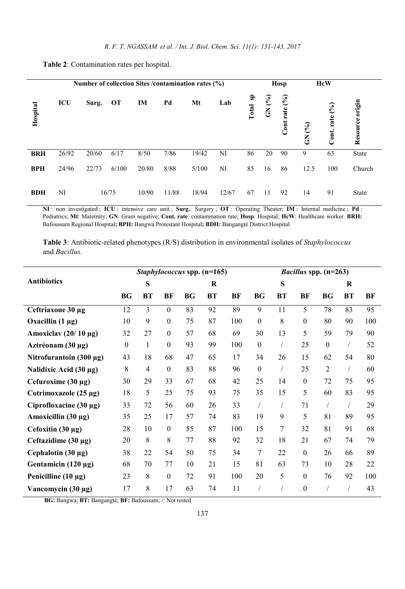| Number of collection Sites / contamination rates (%) |            |       |           |       |       |       |       |                          | Hosp   | <b>HcW</b>       |                       |                   |                 |
|------------------------------------------------------|------------|-------|-----------|-------|-------|-------|-------|--------------------------|--------|------------------|-----------------------|-------------------|-----------------|
| Hospital                                             | <b>ICU</b> | Surg. | <b>OT</b> | IM    | Pd    | Mt    | Lab   | SP <sub>1</sub><br>Total | GN (%) | rate (%)<br>Cont | (0)<br>$\overline{5}$ | rate (%)<br>Cont. | Resource origin |
| <b>BRH</b>                                           | 26/92      | 20/60 | 6/17      | 8/50  | 7/86  | 19/42 | NI    | 86                       | 20     | 90               | 9                     | 63                | <b>State</b>    |
| <b>BPH</b>                                           | 24/96      | 22/73 | 6/100     | 20/80 | 8/88  | 5/100 | NI    | 85                       | 16     | 86               | 12.5                  | 100               | Church          |
| <b>BDH</b>                                           | NI         |       | 16/75     | 10/90 | 11/88 | 18/94 | 12/67 | 67                       | 11     | 92               | 14                    | 91                | <b>State</b>    |

Table 2: Contamination rates per hospital.

NI : non investigated ; ICU : intensive care unit ; Surg.: Surgery ; OT : Operating Theater; IM : Internal medicine ; Pd : Pediatrics; Mt: Maternity; GN: Gram negative; Cont. rate: contamination rate; Hosp: Hospital; HcW: Healthcare worker. BRH: Bafoussam Regional Hospital; BPH: Bangwa Protestant Hospital; BDH: Bangangté District Hospital

Table 3: Antibiotic-related phenotypes (R/S) distribution in environmental isolates of *Staphylococcus* and *Bacillus.*

|                              |                  |                |                  |    | <i>Staphylococcus</i> spp. (n=165) |     | <i>Bacillus</i> spp. (n=263) |           |                  |                  |                      |     |
|------------------------------|------------------|----------------|------------------|----|------------------------------------|-----|------------------------------|-----------|------------------|------------------|----------------------|-----|
| <b>Antibiotics</b>           |                  | S              |                  |    | R                                  |     |                              | ${\bf S}$ |                  |                  | $\bf R$              |     |
|                              | <b>BG</b>        | <b>BT</b>      | BF               | BG | <b>BT</b>                          | BF  | BG                           | <b>BT</b> | BF               | BG               | <b>BT</b>            | BF  |
| Ceftriaxone 30 µg            | 12               | 3              | $\boldsymbol{0}$ | 83 | 92                                 | 89  | 9                            | 11        | 5                | 78               | 83                   | 95  |
| Oxacillin $(1 \mu g)$        | 10               | 9              | $\boldsymbol{0}$ | 75 | 87                                 | 100 | $\boldsymbol{0}$             | 8         | $\boldsymbol{0}$ | 80               | 90                   | 100 |
| Amoxiclav $(20/10 \mu g)$    | 32               | 27             | $\boldsymbol{0}$ | 57 | 68                                 | 69  | 30                           | 13        | 5                | 59               | 79                   | 90  |
| Aztréonam (30 µg)            | $\boldsymbol{0}$ | 1              | $\boldsymbol{0}$ | 93 | 99                                 | 100 | $\boldsymbol{0}$             |           | 25               | $\boldsymbol{0}$ | $\sqrt{2}$           | 52  |
| Nitrofurantoin $(300 \mu g)$ | 43               | 18             | 68               | 47 | 65                                 | 17  | 34                           | 26        | 15               | 62               | 54                   | 80  |
| Nalidixic Acid (30 μg)       | 8                | $\overline{4}$ | $\boldsymbol{0}$ | 83 | 88                                 | 96  | $\boldsymbol{0}$             |           | 25               | $\overline{2}$   | $\sqrt{\phantom{a}}$ | 60  |
| Cefuroxime (30 µg)           | 30               | 29             | 33               | 67 | 68                                 | 42  | 25                           | 14        | $\mathbf{0}$     | 72               | 75                   | 95  |
| Cotrimoxazole (25 μg)        | 18               | 5              | 25               | 75 | 93                                 | 75  | 35                           | 15        | 5                | 60               | 83                   | 95  |
| Ciprofloxacine (30 µg)       | 33               | 72             | 56               | 60 | 26                                 | 33  |                              |           | 71               |                  | $\sqrt{2}$           | 29  |
| Amoxicillin $(30 \mu g)$     | 35               | 25             | 17               | 57 | 74                                 | 83  | 19                           | 9         | 5                | 81               | 89                   | 95  |
| Cefoxitin $(30 \mu g)$       | 28               | 10             | $\boldsymbol{0}$ | 55 | 87                                 | 100 | 15                           | 7         | 32               | 81               | 91                   | 68  |
| Ceftazidime (30 µg)          | 20               | 8              | $\,$ 8 $\,$      | 77 | 88                                 | 92  | 32                           | 18        | 21               | 67               | 74                   | 79  |
| Cephalotin (30 µg)           | 38               | 22             | 54               | 50 | 75                                 | 34  | 7                            | 22        | $\theta$         | 26               | 66                   | 89  |
| Gentamicin $(120 \mu g)$     | 68               | 70             | 77               | 10 | 21                                 | 15  | 81                           | 63        | 73               | 10               | 28                   | 22  |
| Penicilline $(10 \mu g)$     | 23               | 8              | $\boldsymbol{0}$ | 72 | 91                                 | 100 | 20                           | 5         | $\boldsymbol{0}$ | 76               | 92                   | 100 |
| Vancomycin (30 µg)           | 17               | 8              | 17               | 63 | 74                                 | 11  |                              |           | $\theta$         |                  | $\sqrt{2}$           | 43  |

BG: Bangwa; BT: Bangangté; BF: Bafoussam; /: Not tested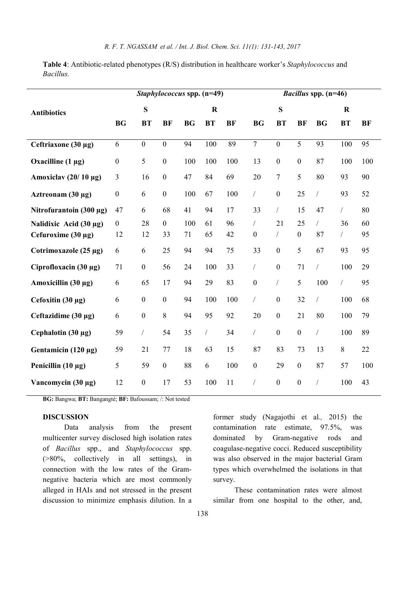Table 4: Antibiotic-related phenotypes (R/S) distribution in healthcare worker's *Staphylococcus* and *Bacillus.*

|                              | Bacillus spp. (n=46)<br>Staphylococcus spp. (n=49) |                  |                  |           |            |     |                  |                  |                  |            |            |     |
|------------------------------|----------------------------------------------------|------------------|------------------|-----------|------------|-----|------------------|------------------|------------------|------------|------------|-----|
| <b>Antibiotics</b>           |                                                    | S                |                  |           | $\bf R$    |     |                  | S                |                  |            | $\bf R$    |     |
|                              | <b>BG</b>                                          | <b>BT</b>        | <b>BF</b>        | <b>BG</b> | <b>BT</b>  | BF  | <b>BG</b>        | <b>BT</b>        | <b>BF</b>        | <b>BG</b>  | <b>BT</b>  | BF  |
| Ceftriaxone (30 µg)          | 6                                                  | $\boldsymbol{0}$ | $\boldsymbol{0}$ | 94        | 100        | 89  | $\overline{7}$   | $\boldsymbol{0}$ | $\overline{5}$   | 93         | 100        | 95  |
| Oxacilline $(1 \mu g)$       | $\boldsymbol{0}$                                   | 5                | $\boldsymbol{0}$ | 100       | 100        | 100 | 13               | $\boldsymbol{0}$ | $\boldsymbol{0}$ | 87         | 100        | 100 |
| Amoxiclav $(20/10 \mu g)$    | 3                                                  | 16               | $\boldsymbol{0}$ | 47        | 84         | 69  | 20               | 7                | 5                | 80         | 93         | 90  |
| Aztreonam (30 µg)            | $\boldsymbol{0}$                                   | 6                | $\boldsymbol{0}$ | 100       | 67         | 100 | $\sqrt{2}$       | $\boldsymbol{0}$ | 25               | $\sqrt{2}$ | 93         | 52  |
| Nitrofurantoin $(300 \mu g)$ | 47                                                 | 6                | 68               | 41        | 94         | 17  | 33               | $\sqrt{2}$       | 15               | 47         | $\sqrt{2}$ | 80  |
| Nalidixic Acid $(30 \mu g)$  | $\boldsymbol{0}$                                   | 28               | $\boldsymbol{0}$ | 100       | 61         | 96  | $\sqrt{2}$       | 21               | 25               | $\sqrt{2}$ | 36         | 60  |
| Cefuroxime $(30 \mu g)$      | 12                                                 | 12               | 33               | 71        | 65         | 42  | $\boldsymbol{0}$ | $\sqrt{2}$       | $\boldsymbol{0}$ | 87         | $\sqrt{2}$ | 95  |
| Cotrimoxazole (25 µg)        | 6                                                  | 6                | 25               | 94        | 94         | 75  | 33               | $\boldsymbol{0}$ | 5                | 67         | 93         | 95  |
| Ciprofloxacin (30 µg)        | 71                                                 | $\boldsymbol{0}$ | 56               | 24        | 100        | 33  |                  | $\boldsymbol{0}$ | 71               | $\sqrt{2}$ | 100        | 29  |
| Amoxicillin (30 µg)          | 6                                                  | 65               | 17               | 94        | 29         | 83  | $\boldsymbol{0}$ | $\sqrt{2}$       | 5                | 100        | $\sqrt{2}$ | 95  |
| Cefoxitin $(30 \mu g)$       | 6                                                  | $\boldsymbol{0}$ | $\boldsymbol{0}$ | 94        | 100        | 100 | $\sqrt{2}$       | $\boldsymbol{0}$ | 32               | $\sqrt{2}$ | 100        | 68  |
| Ceftazidime $(30 \mu g)$     | 6                                                  | $\boldsymbol{0}$ | 8                | 94        | 95         | 92  | 20               | $\boldsymbol{0}$ | 21               | 80         | 100        | 79  |
| Cephalotin (30 µg)           | 59                                                 | $\sqrt{2}$       | 54               | 35        | $\sqrt{2}$ | 34  | $\sqrt{2}$       | $\boldsymbol{0}$ | $\boldsymbol{0}$ | $\sqrt{2}$ | 100        | 89  |
| Gentamicin $(120 \mu g)$     | 59                                                 | 21               | 77               | 18        | 63         | 15  | 87               | 83               | 73               | 13         | $8\,$      | 22  |
| Penicillin $(10 \mu g)$      | 5                                                  | 59               | $\mathbf{0}$     | 88        | 6          | 100 | $\boldsymbol{0}$ | 29               | $\boldsymbol{0}$ | 87         | 57         | 100 |
| Vancomycin (30 µg)           | 12                                                 | $\boldsymbol{0}$ | 17               | 53        | 100        | 11  |                  | $\boldsymbol{0}$ | $\boldsymbol{0}$ | $\sqrt{2}$ | 100        | 43  |

BG: Bangwa; BT: Bangangté; BF: Bafoussam; /: Not tested

## DISCUSSION

Data analysis from the present multicenter survey disclosed high isolation rates of *Bacillus* spp., and *Staphylococcus* spp. (>80%, collectively in all settings), in connection with the low rates of the Gramnegative bacteria which are most commonly alleged in HAIs and not stressed in the present discussion to minimize emphasis dilution. In a

former study (Nagajothi et al*.,* 2015) the contamination rate estimate, 97.5%, was dominated by Gram-negative rods and coagulase-negative cocci. Reduced susceptibility was also observed in the major bacterial Gram types which overwhelmed the isolations in that survey.

These contamination rates were almost similar from one hospital to the other, and,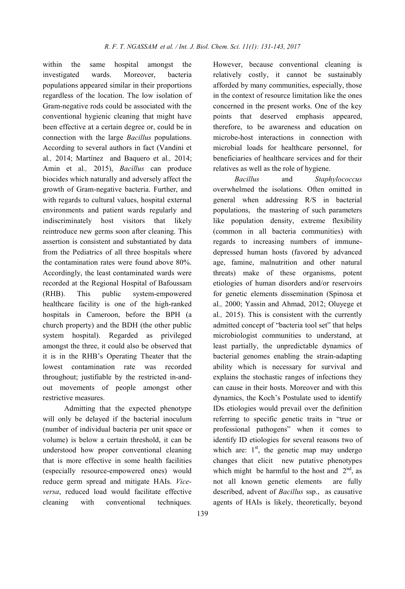within the same hospital amongst the investigated wards. Moreover bacteria populations appeared similar in their proportions regardless of the location. The low isolation of Gram-negative rods could be associated with the conventional hygienic cleaning that might have been effective at a certain degree or, could be in connection with the large *Bacillus* populations. According to several authors in fact (Vandini et al*.,* 2014; Martínez and Baquero et al*.,* 2014; Amin et al*.,* 2015), *Bacillus* can produce biocides which naturally and adversely affect the growth of Gram-negative bacteria. Further, and with regards to cultural values, hospital external environments and patient wards regularly and indiscriminately host visitors that likely reintroduce new germs soon after cleaning. This assertion is consistent and substantiated by data from the Pediatrics of all three hospitals where the contamination rates were found above 80%. Accordingly, the least contaminated wards were recorded at the Regional Hospital of Bafoussam (RHB). This public system-empowered healthcare facility is one of the high-ranked hospitals in Cameroon, before the BPH (a church property) and the BDH (the other public system hospital). Regarded as privileged amongst the three, it could also be observed that it is in the RHB's Operating Theater that the lowest contamination rate was recorded throughout; justifiable by the restricted in-andout movements of people amongst other restrictive measures.

Admitting that the expected phenotype will only be delayed if the bacterial inoculum (number of individual bacteria per unit space or volume) is below a certain threshold, it can be understood how proper conventional cleaning that is more effective in some health facilities (especially resource-empowered ones) would reduce germ spread and mitigate HAIs. *Viceversa*, reduced load would facilitate effective cleaning with conventional techniques.

However, because conventional cleaning is relatively costly, it cannot be sustainably afforded by many communities, especially, those in the context of resource limitation like the ones concerned in the present works. One of the key points that deserved emphasis appeared, therefore, to be awareness and education on microbe-host interactions in connection with microbial loads for healthcare personnel, for beneficiaries of healthcare services and for their relatives as well as the role of hygiene.

*Bacillus* and *Staphylococcus* overwhelmed the isolations. Often omitted in general when addressing R/S in bacterial populations, the mastering of such parameters like population density, extreme flexibility (common in all bacteria communities) with regards to increasing numbers of immunedepressed human hosts (favored by advanced age, famine, malnutrition and other natural threats) make of these organisms, potent etiologies of human disorders and/or reservoirs for genetic elements dissemination (Spinosa et al*.,* 2000; Yassin and Ahmad, 2012; Oluyege et al*.,* 2015). This is consistent with the currently admitted concept of "bacteria tool set" that helps microbiologist communities to understand, at least partially, the unpredictable dynamics of bacterial genomes enabling the strain-adapting ability which is necessary for survival and explains the stochastic ranges of infections they can cause in their hosts. Moreover and with this dynamics, the Koch's Postulate used to identify IDs etiologies would prevail over the definition referring to specific genetic traits in "true or professional pathogens" when it comes to identify ID etiologies for several reasons two of which are:  $1<sup>st</sup>$ , the genetic map may undergo changes that elicit new putative phenotypes which might be harmful to the host and  $2<sup>nd</sup>$ , as not all known genetic elements are fully described, advent of *Bacillus* ssp., as causative agents of HAIs is likely, theoretically, beyond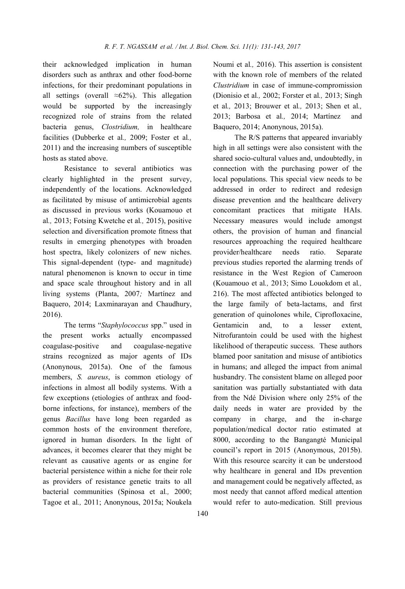their acknowledged implication in human disorders such as anthrax and other food-borne infections, for their predominant populations in all settings (overall  $\approx 62\%$ ). This allegation would be supported by the increasingly recognized role of strains from the related bacteria genus, *Clostridium,* in healthcare facilities (Dubberke et al*.,* 2009; Foster et al*.,* 2011) and the increasing numbers of susceptible hosts as stated above.

Resistance to several antibiotics was clearly highlighted in the present survey, independently of the locations. Acknowledged as facilitated by misuse of antimicrobial agents as discussed in previous works (Kouamouo et al*.,* 2013; Fotsing Kwetche et al*.,* 2015), positive selection and diversification promote fitness that results in emerging phenotypes with broaden host spectra, likely colonizers of new niches. This signal-dependent (type- and magnitude) natural phenomenon is known to occur in time and space scale throughout history and in all living systems (Planta, 2007*;* Martínez and Baquero, 2014; Laxminarayan and Chaudhury, 2016).

The terms "*Staphylococcus* spp." used in the present works actually encompassed coagulase-positive and coagulase-negative strains recognized as major agents of IDs (Anonynous, 2015a). One of the famous members, *S. aureus*, is common etiology of infections in almost all bodily systems. With a few exceptions (etiologies of anthrax and foodborne infections, for instance), members of the genus *Bacillus* have long been regarded as common hosts of the environment therefore, ignored in human disorders. In the light of advances, it becomes clearer that they might be relevant as causative agents or as engine for bacterial persistence within a niche for their role as providers of resistance genetic traits to all bacterial communities (Spinosa et al*.,* 2000; Tagoe et al*.,* 2011; Anonynous, 2015a; Noukela

Noumi et al*.,* 2016). This assertion is consistent with the known role of members of the related *Clustridium* in case of immune-compromission (Dionisio et al*.,* 2002; Forster et al*.,* 2013; Singh et al*.,* 2013; Brouwer et al*.,* 2013; Shen et al*.,* 2013; Barbosa et al*.,* 2014; Martínez and Baquero, 2014; Anonynous, 2015a).

The R/S patterns that appeared invariably high in all settings were also consistent with the shared socio-cultural values and, undoubtedly, in connection with the purchasing power of the local populations. This special view needs to be addressed in order to redirect and redesign disease prevention and the healthcare delivery concomitant practices that mitigate HAIs. Necessary measures would include amongst others, the provision of human and financial resources approaching the required healthcare provider/healthcare needs ratio. Separate previous studies reported the alarming trends of resistance in the West Region of Cameroon (Kouamouo et al*.,* 2013; Simo Louokdom et al*.,* 216). The most affected antibiotics belonged to the large family of beta-lactams, and first generation of quinolones while, Ciprofloxacine, Gentamicin and, to a lesser extent, Nitrofurantoin could be used with the highest likelihood of therapeutic success. These authors blamed poor sanitation and misuse of antibiotics in humans; and alleged the impact from animal husbandry. The consistent blame on alleged poor sanitation was partially substantiated with data from the Ndé Division where only 25% of the daily needs in water are provided by the company in charge, and the in-charge population/medical doctor ratio estimated at 8000, according to the Bangangté Municipal council's report in 2015 (Anonymous, 2015b). With this resource scarcity it can be understood why healthcare in general and IDs prevention and management could be negatively affected, as most needy that cannot afford medical attention would refer to auto-medication. Still previous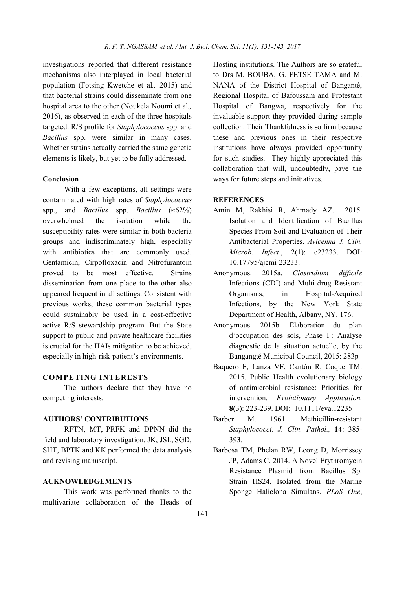investigations reported that different resistance mechanisms also interplayed in local bacterial population (Fotsing Kwetche et al*.,* 2015) and that bacterial strains could disseminate from one hospital area to the other (Noukela Noumi et al*.,* 2016), as observed in each of the three hospitals targeted. R/S profile for *Staphylococcus* spp. and *Bacillus* spp. were similar in many cases. Whether strains actually carried the same genetic elements is likely, but yet to be fully addressed.

# Conclusion

With a few exceptions, all settings were contaminated with high rates of *Staphylococcus* spp., and *Bacillus* spp. *Bacillus* (≈62%) overwhelmed the isolation while the susceptibility rates were similar in both bacteria groups and indiscriminately high, especially with antibiotics that are commonly used. Gentamicin, Cirpofloxacin and Nitrofurantoin proved to be most effective. Strains dissemination from one place to the other also appeared frequent in all settings. Consistent with previous works, these common bacterial types could sustainably be used in a cost-effective active R/S stewardship program. But the State support to public and private healthcare facilities is crucial for the HAIs mitigation to be achieved, especially in high-risk-patient's environments.

### COMPETING INTERESTS

The authors declare that they have no competing interests.

### AUTHORS' CONTRIBUTIONS

RFTN, MT, PRFK and DPNN did the field and laboratory investigation. JK, JSL, SGD, SHT, BPTK and KK performed the data analysis and revising manuscript.

### ACKNOWLEDGEMENTS

This work was performed thanks to the multivariate collaboration of the Heads of Hosting institutions. The Authors are so grateful to Drs M. BOUBA, G. FETSE TAMA and M. NANA of the District Hospital of Banganté, Regional Hospital of Bafoussam and Protestant Hospital of Bangwa, respectively for the invaluable support they provided during sample collection. Their Thankfulness is so firm because these and previous ones in their respective institutions have always provided opportunity for such studies. They highly appreciated this collaboration that will, undoubtedly, pave the ways for future steps and initiatives.

#### **REFERENCES**

- Amin M, Rakhisi R, Ahmady AZ. 2015. Isolation and Identification of Bacillus Species From Soil and Evaluation of Their Antibacterial Properties. *Avicenna J. Clin. Microb. Infect*., 2(1): e23233. DOI: 10.17795/ajcmi-23233.
- Anonymous. 2015a. *Clostridium difficile* Infections (CDI) and Multi-drug Resistant Organisms, in Hospital-Acquired Infections, by the New York State Department of Health, Albany, NY, 176.
- Anonymous. 2015b. Elaboration du plan d'occupation des sols, Phase I : Analyse diagnostic de la situation actuelle, by the Bangangté Municipal Council, 2015: 283p
- Baquero F, Lanza VF, Cantón R, Coque TM. 2015. Public Health evolutionary biology of antimicrobial resistance: Priorities for intervention. *Evolutionary Application,* 8(3): 223-239. DOI: 10.1111/eva.12235
- Barber M. 1961. Methicillin-resistant *Staphylococci*. *J. Clin. Pathol.,* 14: 385- 393.
- Barbosa TM, Phelan RW, Leong D, Morrissey JP, Adams C. 2014. A Novel Erythromycin Resistance Plasmid from Bacillus Sp. Strain HS24, Isolated from the Marine Sponge Haliclona Simulans. *PLoS One*,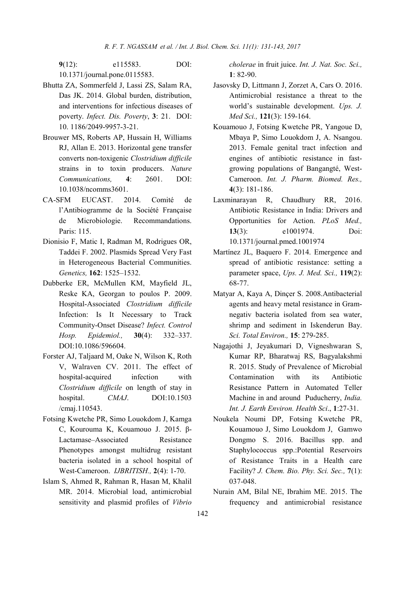9(12): e115583. DOI: 10.1371/journal.pone.0115583.

- Bhutta ZA, Sommerfeld J, Lassi ZS, Salam RA, Das JK. 2014. Global burden, distribution, and interventions for infectious diseases of poverty. *Infect. Dis. Poverty*, 3: 21. DOI: 10. 1186/2049-9957-3-21.
- Brouwer MS, Roberts AP, Hussain H, Williams RJ, Allan E. 2013. Horizontal gene transfer converts non-toxigenic *Clostridium difficile* strains in to toxin producers. *Nature Communications,* 4: 2601. DOI: 10.1038/ncomms3601.
- CA-SFM EUCAST. 2014. Comité de l'Antibiogramme de la Société Française de Microbiologie. Recommandations. Paris: 115.
- Dionisio F, Matic I, Radman M, Rodrigues OR, Taddei F. 2002. Plasmids Spread Very Fast in Heterogeneous Bacterial Communities. *Genetics,* 162: 1525–1532.
- Dubberke ER, McMullen KM, Mayfield JL, Reske KA, Georgan to poulos P. 2009. Hospital-Associated *Clostridium difficile* Infection: Is It Necessary to Track Community-Onset Disease? *Infect. Control Hosp. Epidemiol.,* 30(4): 332–337. DOI:10.1086/596604.
- Forster AJ, Taljaard M, Oake N, Wilson K, Roth V, Walraven CV. 2011. The effect of hospital-acquired infection with *Clostridium difficile* on length of stay in hospital. *CMAJ*. DOI:10.1503 /cmaj.110543.
- Fotsing Kwetche PR, Simo Louokdom J, Kamga C, Kourouma K, Kouamouo J. 2015. β-Lactamase–Associated Resistance Phenotypes amongst multidrug resistant bacteria isolated in a school hospital of West-Cameroon. *IJBRITISH.,* 2(4): 1-70.
- Islam S, Ahmed R, Rahman R, Hasan M, Khalil MR. 2014. Microbial load, antimicrobial sensitivity and plasmid profiles of *Vibrio*

*cholerae* in fruit juice. *Int. J. Nat. Soc. Sci.,*  $1: 82-90$ 

- Jasovsky D, Littmann J, Zorzet A, Cars O. 2016. Antimicrobial resistance a threat to the world's sustainable development. *Ups. J. Med Sci.,* 121(3): 159-164.
- Kouamouo J, Fotsing Kwetche PR, Yangoue D, Mbaya P, Simo Louokdom J, A. Nsangou. 2013. Female genital tract infection and engines of antibiotic resistance in fastgrowing populations of Bangangté, West-Cameroon. *Int. J. Pharm. Biomed. Res.,* 4(3): 181-186.
- Laxminarayan R, Chaudhury RR, 2016. Antibiotic Resistance in India: Drivers and Opportunities for Action. *PLoS Med.,* 13(3): e1001974. Doi: 10.1371/journal.pmed.1001974
- Martínez JL, Baquero F. 2014. Emergence and spread of antibiotic resistance: setting a parameter space, *Ups. J. Med. Sci.,* 119(2): 68-77.
- Matyar A, Kaya A, Dinçer S. 2008.Antibacterial agents and heavy metal resistance in Gramnegativ bacteria isolated from sea water, shrimp and sediment in Iskenderun Bay. *Sci. Total Environ.,* 15: 279-285.
- Nagajothi J, Jeyakumari D, Vigneshwaran S, Kumar RP, Bharatwaj RS, Bagyalakshmi R. 2015. Study of Prevalence of Microbial Contamination with its Antibiotic Resistance Pattern in Automated Teller Machine in and around Puducherry, *India. Int. J. Earth Environ. Health Sci*., 1:27-31.
- Noukela Noumi DP, Fotsing Kwetche PR, Kouamouo J, Simo Louokdom J, Gamwo Dongmo S. 2016. Bacillus spp. and Staphylococcus spp.:Potential Reservoirs of Resistance Traits in a Health care Facility? *J. Chem. Bio. Phy. Sci. Sec.,* 7(1): 037-048.
- Nurain AM, Bilal NE, Ibrahim ME. 2015. The frequency and antimicrobial resistance